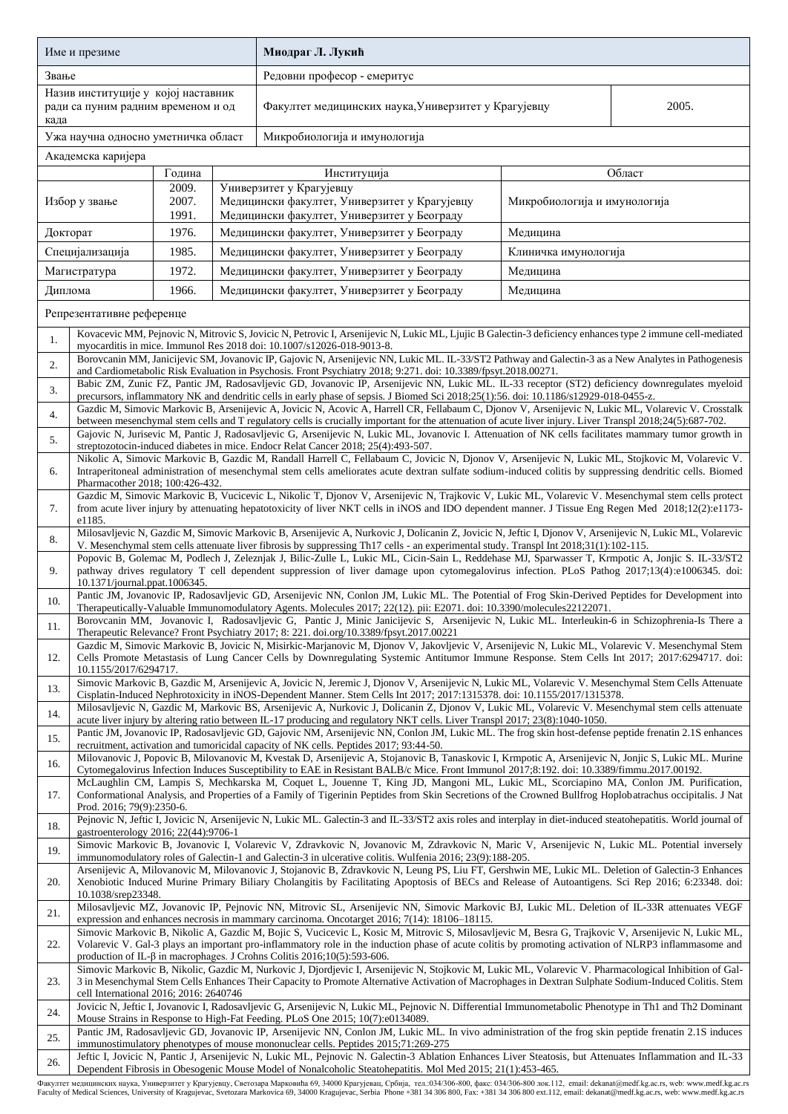| Име и презиме                                                                     |                                                                                                                                                                                                                                                                                                                                                                                                |                         |  | Миодраг Л. Лукић                                                                                                                                                                                                                                                                                                  |                              |        |  |  |  |
|-----------------------------------------------------------------------------------|------------------------------------------------------------------------------------------------------------------------------------------------------------------------------------------------------------------------------------------------------------------------------------------------------------------------------------------------------------------------------------------------|-------------------------|--|-------------------------------------------------------------------------------------------------------------------------------------------------------------------------------------------------------------------------------------------------------------------------------------------------------------------|------------------------------|--------|--|--|--|
| Звање                                                                             |                                                                                                                                                                                                                                                                                                                                                                                                |                         |  | Редовни професор - емеритус                                                                                                                                                                                                                                                                                       |                              |        |  |  |  |
| Назив институције у којој наставник<br>ради са пуним радним временом и од<br>када |                                                                                                                                                                                                                                                                                                                                                                                                |                         |  | Факултет медицинских наука, Универзитет у Крагујевцу                                                                                                                                                                                                                                                              | 2005.                        |        |  |  |  |
|                                                                                   | Ужа научна односно уметничка област                                                                                                                                                                                                                                                                                                                                                            |                         |  | Микробиологија и имунологија                                                                                                                                                                                                                                                                                      |                              |        |  |  |  |
|                                                                                   | Академска каријера                                                                                                                                                                                                                                                                                                                                                                             |                         |  |                                                                                                                                                                                                                                                                                                                   |                              |        |  |  |  |
|                                                                                   |                                                                                                                                                                                                                                                                                                                                                                                                | Година                  |  | Институција                                                                                                                                                                                                                                                                                                       |                              | Област |  |  |  |
| Избор у звање                                                                     |                                                                                                                                                                                                                                                                                                                                                                                                | 2009.<br>2007.<br>1991. |  | Универзитет у Крагујевцу<br>Медицински факултет, Универзитет у Крагујевцу<br>Медицински факултет, Универзитет у Београду                                                                                                                                                                                          | Микробиологија и имунологија |        |  |  |  |
| Докторат                                                                          |                                                                                                                                                                                                                                                                                                                                                                                                | 1976.                   |  | Медицински факултет, Универзитет у Београду                                                                                                                                                                                                                                                                       | Медицина                     |        |  |  |  |
| Специјализација                                                                   |                                                                                                                                                                                                                                                                                                                                                                                                | 1985.                   |  | Медицински факултет, Универзитет у Београду                                                                                                                                                                                                                                                                       | Клиничка имунологија         |        |  |  |  |
| Магистратура                                                                      |                                                                                                                                                                                                                                                                                                                                                                                                | 1972.                   |  | Медицински факултет, Универзитет у Београду                                                                                                                                                                                                                                                                       | Медицина                     |        |  |  |  |
| Диплома                                                                           |                                                                                                                                                                                                                                                                                                                                                                                                | 1966.                   |  | Медицински факултет, Универзитет у Београду                                                                                                                                                                                                                                                                       | Медицина                     |        |  |  |  |
|                                                                                   | Репрезентативне референце                                                                                                                                                                                                                                                                                                                                                                      |                         |  |                                                                                                                                                                                                                                                                                                                   |                              |        |  |  |  |
| 1.                                                                                |                                                                                                                                                                                                                                                                                                                                                                                                |                         |  | Kovacevic MM, Pejnovic N, Mitrovic S, Jovicic N, Petrovic I, Arsenijevic N, Lukic ML, Ljujic B Galectin-3 deficiency enhances type 2 immune cell-mediated<br>myocarditis in mice. Immunol Res 2018 doi: 10.1007/s12026-018-9013-8.                                                                                |                              |        |  |  |  |
| 2.                                                                                |                                                                                                                                                                                                                                                                                                                                                                                                |                         |  | Borovcanin MM, Janicijevic SM, Jovanovic IP, Gajovic N, Arsenijevic NN, Lukic ML. IL-33/ST2 Pathway and Galectin-3 as a New Analytes in Pathogenesis<br>and Cardiometabolic Risk Evaluation in Psychosis. Front Psychiatry 2018; 9:271. doi: 10.3389/fpsyt.2018.00271.                                            |                              |        |  |  |  |
| 3.                                                                                |                                                                                                                                                                                                                                                                                                                                                                                                |                         |  | Babic ZM, Zunic FZ, Pantic JM, Radosavljevic GD, Jovanovic IP, Arsenijevic NN, Lukic ML. IL-33 receptor (ST2) deficiency downregulates myeloid<br>precursors, inflammatory NK and dendritic cells in early phase of sepsis. J Biomed Sci 2018;25(1):56. doi: 10.1186/s12929-018-0455-z.                           |                              |        |  |  |  |
| 4.                                                                                |                                                                                                                                                                                                                                                                                                                                                                                                |                         |  | Gazdic M, Simovic Markovic B, Arsenijevic A, Jovicic N, Acovic A, Harrell CR, Fellabaum C, Djonov V, Arsenijevic N, Lukic ML, Volarevic V. Crosstalk<br>between mesenchymal stem cells and T regulatory cells is crucially important for the attenuation of acute liver injury. Liver Transpl 2018;24(5):687-702. |                              |        |  |  |  |
| 5.                                                                                |                                                                                                                                                                                                                                                                                                                                                                                                |                         |  | Gajovic N, Jurisevic M, Pantic J, Radosavljevic G, Arsenijevic N, Lukic ML, Jovanovic I. Attenuation of NK cells facilitates mammary tumor growth in<br>streptozotocin-induced diabetes in mice. Endocr Relat Cancer 2018; 25(4):493-507.                                                                         |                              |        |  |  |  |
| 6.                                                                                | Nikolic A, Simovic Markovic B, Gazdic M, Randall Harrell C, Fellabaum C, Jovicic N, Djonov V, Arsenijevic N, Lukic ML, Stojkovic M, Volarevic V.<br>Intraperitoneal administration of mesenchymal stem cells ameliorates acute dextran sulfate sodium-induced colitis by suppressing dendritic cells. Biomed<br>Pharmacother 2018; 100:426-432.                                                |                         |  |                                                                                                                                                                                                                                                                                                                   |                              |        |  |  |  |
| 7.                                                                                | Gazdic M, Simovic Markovic B, Vucicevic L, Nikolic T, Djonov V, Arsenijevic N, Trajkovic V, Lukic ML, Volarevic V. Mesenchymal stem cells protect<br>from acute liver injury by attenuating hepatotoxicity of liver NKT cells in iNOS and IDO dependent manner. J Tissue Eng Regen Med 2018;12(2):e1173-<br>e1185.                                                                             |                         |  |                                                                                                                                                                                                                                                                                                                   |                              |        |  |  |  |
| 8.                                                                                | Milosavljevic N, Gazdic M, Simovic Markovic B, Arsenijevic A, Nurkovic J, Dolicanin Z, Jovicic N, Jeftic I, Djonov V, Arsenijevic N, Lukic ML, Volarevic<br>V. Mesenchymal stem cells attenuate liver fibrosis by suppressing Th17 cells - an experimental study. Transpl Int 2018;31(1):102-115.                                                                                              |                         |  |                                                                                                                                                                                                                                                                                                                   |                              |        |  |  |  |
| 9.                                                                                | Popovic B, Golemac M, Podlech J, Zeleznjak J, Bilic-Zulle L, Lukic ML, Cicin-Sain L, Reddehase MJ, Sparwasser T, Krmpotic A, Jonjic S. IL-33/ST2<br>pathway drives regulatory T cell dependent suppression of liver damage upon cytomegalovirus infection. PLoS Pathog 2017;13(4):e1006345. doi:                                                                                               |                         |  |                                                                                                                                                                                                                                                                                                                   |                              |        |  |  |  |
| 10.                                                                               | 10.1371/journal.ppat.1006345.<br>Pantic JM, Jovanovic IP, Radosavljevic GD, Arsenijevic NN, Conlon JM, Lukic ML. The Potential of Frog Skin-Derived Peptides for Development into<br>Therapeutically-Valuable Immunomodulatory Agents. Molecules 2017; 22(12). pii: E2071. doi: 10.3390/molecules22122071.                                                                                     |                         |  |                                                                                                                                                                                                                                                                                                                   |                              |        |  |  |  |
| 11.                                                                               | Borovcanin MM, Jovanovic I, Radosavljevic G, Pantic J, Minic Janicijevic S, Arsenijevic N, Lukic ML. Interleukin-6 in Schizophrenia-Is There a<br>Therapeutic Relevance? Front Psychiatry 2017; 8: 221. doi.org/10.3389/fpsyt.2017.00221                                                                                                                                                       |                         |  |                                                                                                                                                                                                                                                                                                                   |                              |        |  |  |  |
| 12.                                                                               | Gazdic M, Simovic Markovic B, Jovicic N, Misirkic-Marjanovic M, Djonov V, Jakovljevic V, Arsenijevic N, Lukic ML, Volarevic V. Mesenchymal Stem<br>Cells Promote Metastasis of Lung Cancer Cells by Downregulating Systemic Antitumor Immune Response. Stem Cells Int 2017; 2017:6294717. doi:<br>10.1155/2017/6294717.                                                                        |                         |  |                                                                                                                                                                                                                                                                                                                   |                              |        |  |  |  |
| 13.                                                                               | Simovic Markovic B, Gazdic M, Arsenijevic A, Jovicic N, Jeremic J, Djonov V, Arsenijevic N, Lukic ML, Volarevic V. Mesenchymal Stem Cells Attenuate<br>Cisplatin-Induced Nephrotoxicity in iNOS-Dependent Manner. Stem Cells Int 2017; 2017:1315378. doi: 10.1155/2017/1315378.                                                                                                                |                         |  |                                                                                                                                                                                                                                                                                                                   |                              |        |  |  |  |
| 14.                                                                               | Milosavljevic N, Gazdic M, Markovic BS, Arsenijevic A, Nurkovic J, Dolicanin Z, Djonov V, Lukic ML, Volarevic V. Mesenchymal stem cells attenuate<br>acute liver injury by altering ratio between IL-17 producing and regulatory NKT cells. Liver Transpl 2017; 23(8):1040-1050.                                                                                                               |                         |  |                                                                                                                                                                                                                                                                                                                   |                              |        |  |  |  |
| 15.                                                                               | Pantic JM, Jovanovic IP, Radosavljevic GD, Gajovic NM, Arsenijevic NN, Conlon JM, Lukic ML. The frog skin host-defense peptide frenatin 2.1S enhances<br>recruitment, activation and tumoricidal capacity of NK cells. Peptides 2017; 93:44-50.                                                                                                                                                |                         |  |                                                                                                                                                                                                                                                                                                                   |                              |        |  |  |  |
| 16.                                                                               |                                                                                                                                                                                                                                                                                                                                                                                                |                         |  | Milovanovic J, Popovic B, Milovanovic M, Kvestak D, Arsenijevic A, Stojanovic B, Tanaskovic I, Krmpotic A, Arsenijevic N, Jonjic S, Lukic ML. Murine<br>Cytomegalovirus Infection Induces Susceptibility to EAE in Resistant BALB/c Mice. Front Immunol 2017;8:192. doi: 10.3389/fimmu.2017.00192.                |                              |        |  |  |  |
| 17.                                                                               | Prod. 2016; 79(9):2350-6.                                                                                                                                                                                                                                                                                                                                                                      |                         |  | McLaughlin CM, Lampis S, Mechkarska M, Coquet L, Jouenne T, King JD, Mangoni ML, Lukic ML, Scorciapino MA, Conlon JM. Purification,<br>Conformational Analysis, and Properties of a Family of Tigerinin Peptides from Skin Secretions of the Crowned Bullfrog Hoplobatrachus occipitalis. J Nat                   |                              |        |  |  |  |
| 18.                                                                               | gastroenterology 2016; 22(44):9706-1                                                                                                                                                                                                                                                                                                                                                           |                         |  | Pejnovic N, Jeftic I, Jovicic N, Arsenijevic N, Lukic ML. Galectin-3 and IL-33/ST2 axis roles and interplay in diet-induced steatohepatitis. World journal of                                                                                                                                                     |                              |        |  |  |  |
| 19.                                                                               |                                                                                                                                                                                                                                                                                                                                                                                                |                         |  | Simovic Markovic B, Jovanovic I, Volarevic V, Zdravkovic N, Jovanovic M, Zdravkovic N, Maric V, Arsenijevic N, Lukic ML. Potential inversely<br>immunomodulatory roles of Galectin-1 and Galectin-3 in ulcerative colitis. Wulfenia 2016; 23(9):188-205.                                                          |                              |        |  |  |  |
| 20.                                                                               | Arsenijevic A, Milovanovic M, Milovanovic J, Stojanovic B, Zdravkovic N, Leung PS, Liu FT, Gershwin ME, Lukic ML. Deletion of Galectin-3 Enhances<br>Xenobiotic Induced Murine Primary Biliary Cholangitis by Facilitating Apoptosis of BECs and Release of Autoantigens. Sci Rep 2016; 6:23348. doi:<br>10.1038/srep23348.                                                                    |                         |  |                                                                                                                                                                                                                                                                                                                   |                              |        |  |  |  |
| 21.                                                                               | Milosavljevic MZ, Jovanovic IP, Pejnovic NN, Mitrovic SL, Arsenijevic NN, Simovic Markovic BJ, Lukic ML. Deletion of IL-33R attenuates VEGF<br>expression and enhances necrosis in mammary carcinoma. Oncotarget 2016; 7(14): 18106–18115.                                                                                                                                                     |                         |  |                                                                                                                                                                                                                                                                                                                   |                              |        |  |  |  |
| 22.                                                                               | Simovic Markovic B, Nikolic A, Gazdic M, Bojic S, Vucicevic L, Kosic M, Mitrovic S, Milosavljevic M, Besra G, Trajkovic V, Arsenijevic N, Lukic ML,<br>Volarevic V. Gal-3 plays an important pro-inflammatory role in the induction phase of acute colitis by promoting activation of NLRP3 inflammasome and<br>production of IL- $\beta$ in macrophages. J Crohns Colitis 2016;10(5):593-606. |                         |  |                                                                                                                                                                                                                                                                                                                   |                              |        |  |  |  |
| 23.                                                                               | Simovic Markovic B, Nikolic, Gazdic M, Nurkovic J, Djordjevic I, Arsenijevic N, Stojkovic M, Lukic ML, Volarevic V. Pharmacological Inhibition of Gal-<br>3 in Mesenchymal Stem Cells Enhances Their Capacity to Promote Alternative Activation of Macrophages in Dextran Sulphate Sodium-Induced Colitis. Stem<br>cell International 2016; 2016: 2640746                                      |                         |  |                                                                                                                                                                                                                                                                                                                   |                              |        |  |  |  |
| 24.                                                                               | Jovicic N, Jeftic I, Jovanovic I, Radosavljevic G, Arsenijevic N, Lukic ML, Pejnovic N. Differential Immunometabolic Phenotype in Th1 and Th2 Dominant<br>Mouse Strains in Response to High-Fat Feeding. PLoS One 2015; 10(7):e0134089.                                                                                                                                                        |                         |  |                                                                                                                                                                                                                                                                                                                   |                              |        |  |  |  |
| 25.                                                                               | Pantic JM, Radosavljevic GD, Jovanovic IP, Arsenijevic NN, Conlon JM, Lukic ML. In vivo administration of the frog skin peptide frenatin 2.1S induces<br>immunostimulatory phenotypes of mouse mononuclear cells. Peptides 2015;71:269-275                                                                                                                                                     |                         |  |                                                                                                                                                                                                                                                                                                                   |                              |        |  |  |  |
| 26.                                                                               | Jeftic I, Jovicic N, Pantic J, Arsenijevic N, Lukic ML, Pejnovic N. Galectin-3 Ablation Enhances Liver Steatosis, but Attenuates Inflammation and IL-33<br>Dependent Fibrosis in Obesogenic Mouse Model of Nonalcoholic Steatohepatitis. Mol Med 2015; 21(1):453-465.                                                                                                                          |                         |  |                                                                                                                                                                                                                                                                                                                   |                              |        |  |  |  |

Факултет медицинских наука, Универзитет у Крагујевцу, Светозара Марковића б9, 34000 Крагујевац, Србија, тел:034/306-800, факс: 034/306-800 лок.112, email: dekanat@medf.kg.ac.rs, web: www.medf.kg.ac.rs<br>Faculty of Medical S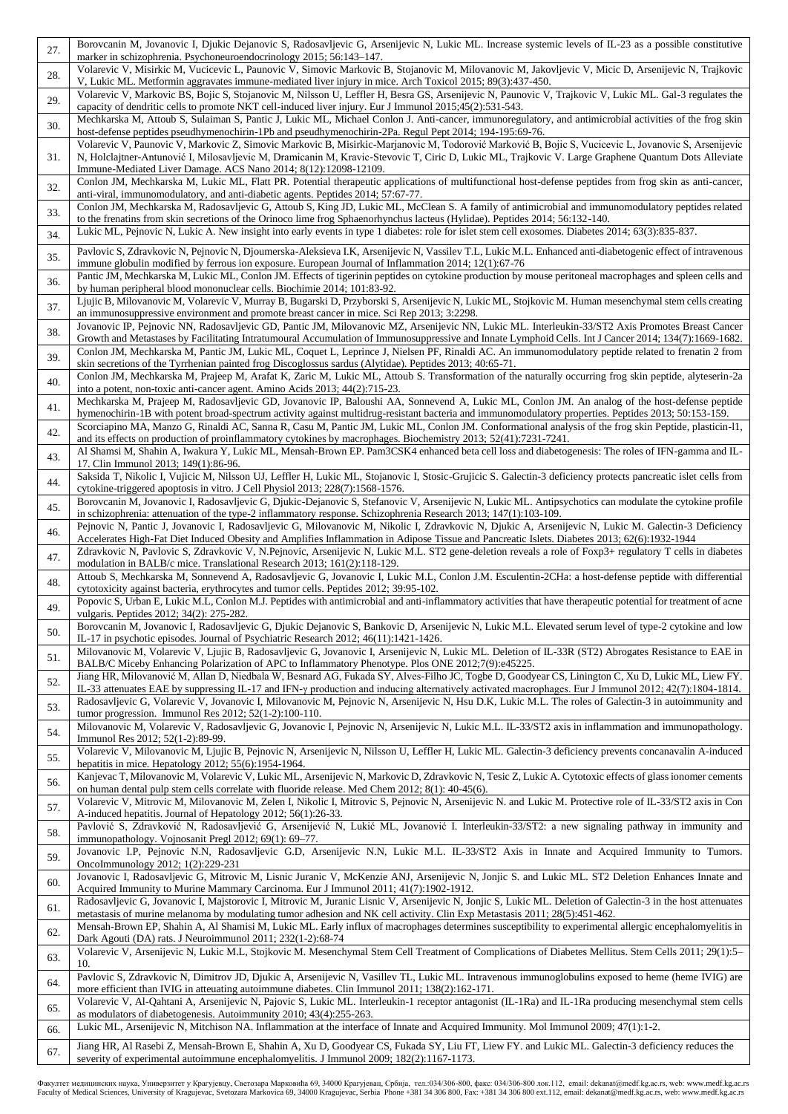| 27.        | Borovcanin M, Jovanovic I, Djukic Dejanovic S, Radosavljevic G, Arsenijevic N, Lukic ML. Increase systemic levels of IL-23 as a possible constitutive<br>marker in schizophrenia. Psychoneuroendocrinology 2015; 56:143–147.                                                                                                                                                                                           |
|------------|------------------------------------------------------------------------------------------------------------------------------------------------------------------------------------------------------------------------------------------------------------------------------------------------------------------------------------------------------------------------------------------------------------------------|
| 28.        | Volarevic V, Misirkic M, Vucicevic L, Paunovic V, Simovic Markovic B, Stojanovic M, Milovanovic M, Jakovljevic V, Micic D, Arsenijevic N, Trajkovic<br>V, Lukic ML. Metformin aggravates immune-mediated liver injury in mice. Arch Toxicol 2015; 89(3):437-450.                                                                                                                                                       |
| 29.        | Volarevic V, Markovic BS, Bojic S, Stojanovic M, Nilsson U, Leffler H, Besra GS, Arsenijevic N, Paunovic V, Trajkovic V, Lukic ML. Gal-3 regulates the<br>capacity of dendritic cells to promote NKT cell-induced liver injury. Eur J Immunol 2015;45(2):531-543.                                                                                                                                                      |
| 30.        | Mechkarska M, Attoub S, Sulaiman S, Pantic J, Lukic ML, Michael Conlon J. Anti-cancer, immunoregulatory, and antimicrobial activities of the frog skin<br>host-defense peptides pseudhymenochirin-1Pb and pseudhymenochirin-2Pa. Regul Pept 2014; 194-195:69-76.                                                                                                                                                       |
| 31.        | Volarevic V, Paunovic V, Markovic Z, Simovic Markovic B, Misirkic-Marjanovic M, Todorović Marković B, Bojic S, Vucicevic L, Jovanovic S, Arsenijevic<br>N, Holclajtner-Antunović I, Milosavljevic M, Dramicanin M, Kravic-Stevovic T, Ciric D, Lukic ML, Trajkovic V. Large Graphene Quantum Dots Alleviate<br>Immune-Mediated Liver Damage. ACS Nano 2014; 8(12):12098-12109.                                         |
| 32.        | Conlon JM, Mechkarska M, Lukic ML, Flatt PR. Potential therapeutic applications of multifunctional host-defense peptides from frog skin as anti-cancer,<br>anti-viral, immunomodulatory, and anti-diabetic agents. Peptides 2014; 57:67-77.                                                                                                                                                                            |
| 33.        | Conlon JM, Mechkarska M, Radosavljevic G, Attoub S, King JD, Lukic ML, McClean S. A family of antimicrobial and immunomodulatory peptides related<br>to the frenatins from skin secretions of the Orinoco lime frog Sphaenorhynchus lacteus (Hylidae). Peptides 2014; 56:132-140.                                                                                                                                      |
| 34.        | Lukic ML, Pejnovic N, Lukic A. New insight into early events in type 1 diabetes: role for islet stem cell exosomes. Diabetes 2014; 63(3):835-837.                                                                                                                                                                                                                                                                      |
| 35.        | Pavlovic S, Zdravkovic N, Pejnovic N, Djoumerska-Aleksieva I.K, Arsenijevic N, Vassilev T.L, Lukic M.L. Enhanced anti-diabetogenic effect of intravenous<br>immune globulin modified by ferrous ion exposure. European Journal of Inflammation 2014; 12(1):67-76                                                                                                                                                       |
| 36.        | Pantic JM, Mechkarska M, Lukic ML, Conlon JM. Effects of tigerinin peptides on cytokine production by mouse peritoneal macrophages and spleen cells and<br>by human peripheral blood mononuclear cells. Biochimie 2014; 101:83-92.                                                                                                                                                                                     |
| 37.        | Ljujic B, Milovanovic M, Volarevic V, Murray B, Bugarski D, Przyborski S, Arsenijevic N, Lukic ML, Stojkovic M. Human mesenchymal stem cells creating<br>an immunosuppressive environment and promote breast cancer in mice. Sci Rep 2013; 3:2298.                                                                                                                                                                     |
| 38.        | Jovanovic IP, Pejnovic NN, Radosavljevic GD, Pantic JM, Milovanovic MZ, Arsenijevic NN, Lukic ML. Interleukin-33/ST2 Axis Promotes Breast Cancer<br>Growth and Metastases by Facilitating Intratumoural Accumulation of Immunosuppressive and Innate Lymphoid Cells. Int J Cancer 2014; 134(7):1669-1682.                                                                                                              |
| 39.        | Conlon JM, Mechkarska M, Pantic JM, Lukic ML, Coquet L, Leprince J, Nielsen PF, Rinaldi AC. An immunomodulatory peptide related to frenatin 2 from<br>skin secretions of the Tyrrhenian painted frog Discoglossus sardus (Alytidae). Peptides 2013; 40:65-71.<br>Conlon JM, Mechkarska M, Prajeep M, Arafat K, Zaric M, Lukic ML, Attoub S. Transformation of the naturally occurring frog skin peptide, alyteserin-2a |
| 40.        | into a potent, non-toxic anti-cancer agent. Amino Acids 2013; 44(2):715-23.<br>Mechkarska M, Prajeep M, Radosavljevic GD, Jovanovic IP, Baloushi AA, Sonnevend A, Lukic ML, Conlon JM. An analog of the host-defense peptide                                                                                                                                                                                           |
| 41.        | hymenochirin-1B with potent broad-spectrum activity against multidrug-resistant bacteria and immunomodulatory properties. Peptides 2013; 50:153-159.<br>Scorciapino MA, Manzo G, Rinaldi AC, Sanna R, Casu M, Pantic JM, Lukic ML, Conlon JM. Conformational analysis of the frog skin Peptide, plasticin-11,                                                                                                          |
| 42.        | and its effects on production of proinflammatory cytokines by macrophages. Biochemistry 2013; 52(41):7231-7241.<br>Al Shamsi M, Shahin A, Iwakura Y, Lukic ML, Mensah-Brown EP. Pam3CSK4 enhanced beta cell loss and diabetogenesis: The roles of IFN-gamma and IL-                                                                                                                                                    |
| 43.        | 17. Clin Immunol 2013; 149(1):86-96.<br>Saksida T, Nikolic I, Vujicic M, Nilsson UJ, Leffler H, Lukic ML, Stojanovic I, Stosic-Grujicic S. Galectin-3 deficiency protects pancreatic islet cells from                                                                                                                                                                                                                  |
| 44.        | cytokine-triggered apoptosis in vitro. J Cell Physiol 2013; 228(7):1568-1576.<br>Borovcanin M, Jovanovic I, Radosavljevic G, Djukic-Dejanovic S, Stefanovic V, Arsenijevic N, Lukic ML. Antipsychotics can modulate the cytokine profile                                                                                                                                                                               |
| 45.<br>46. | in schizophrenia: attenuation of the type-2 inflammatory response. Schizophrenia Research 2013; 147(1):103-109.<br>Pejnovic N, Pantic J, Jovanovic I, Radosavljevic G, Milovanovic M, Nikolic I, Zdravkovic N, Djukic A, Arsenijevic N, Lukic M. Galectin-3 Deficiency                                                                                                                                                 |
|            | Accelerates High-Fat Diet Induced Obesity and Amplifies Inflammation in Adipose Tissue and Pancreatic Islets. Diabetes 2013; 62(6):1932-1944<br>Zdravkovic N, Pavlovic S, Zdravkovic V, N.Pejnovic, Arsenijevic N, Lukic M.L. ST2 gene-deletion reveals a role of Foxp3+ regulatory T cells in diabetes                                                                                                                |
| 47.<br>48. | modulation in BALB/c mice. Translational Research 2013; 161(2):118-129.<br>Attoub S, Mechkarska M, Sonnevend A, Radosavljevic G, Jovanovic I, Lukic M.L, Conlon J.M. Esculentin-2CHa: a host-defense peptide with differential                                                                                                                                                                                         |
| 49.        | cytotoxicity against bacteria, erythrocytes and tumor cells. Peptides 2012; 39:95-102.<br>Popovic S, Urban E, Lukic M.L, Conlon M.J. Peptides with antimicrobial and anti-inflammatory activities that have therapeutic potential for treatment of acne                                                                                                                                                                |
| 50.        | vulgaris. Peptides 2012; 34(2): 275-282.<br>Borovcanin M, Jovanovic I, Radosavljevic G, Djukic Dejanovic S, Bankovic D, Arsenijevic N, Lukic M.L. Elevated serum level of type-2 cytokine and low                                                                                                                                                                                                                      |
| 51.        | IL-17 in psychotic episodes. Journal of Psychiatric Research 2012; 46(11):1421-1426.<br>Milovanovic M, Volarevic V, Ljujic B, Radosavljevic G, Jovanovic I, Arsenijevic N, Lukic ML. Deletion of IL-33R (ST2) Abrogates Resistance to EAE in                                                                                                                                                                           |
| 52.        | BALB/C Miceby Enhancing Polarization of APC to Inflammatory Phenotype. Plos ONE 2012;7(9):e45225.<br>Jiang HR, Milovanović M, Allan D, Niedbala W, Besnard AG, Fukada SY, Alves-Filho JC, Togbe D, Goodyear CS, Linington C, Xu D, Lukic ML, Liew FY.                                                                                                                                                                  |
| 53.        | IL-33 attenuates EAE by suppressing IL-17 and IFN- $\gamma$ production and inducing alternatively activated macrophages. Eur J Immunol 2012; 42(7):1804-1814.<br>Radosavljevic G, Volarevic V, Jovanovic I, Milovanovic M, Pejnovic N, Arsenijevic N, Hsu D.K, Lukic M.L. The roles of Galectin-3 in autoimmunity and                                                                                                  |
| 54.        | tumor progression. Immunol Res $2012$ ; $52(1-2)$ :100-110.<br>Milovanovic M, Volarevic V, Radosavljevic G, Jovanovic I, Pejnovic N, Arsenijevic N, Lukic M.L. IL-33/ST2 axis in inflammation and immunopathology.                                                                                                                                                                                                     |
| 55.        | Immunol Res 2012; 52(1-2):89-99.<br>Volarevic V, Milovanovic M, Ljujic B, Pejnovic N, Arsenijevic N, Nilsson U, Leffler H, Lukic ML. Galectin-3 deficiency prevents concanavalin A-induced                                                                                                                                                                                                                             |
| 56.        | hepatitis in mice. Hepatology $2012$ ; $55(6)$ : 1954-1964.<br>Kanjevac T, Milovanovic M, Volarevic V, Lukic ML, Arsenijevic N, Markovic D, Zdravkovic N, Tesic Z, Lukic A. Cytotoxic effects of glass ionomer cements<br>on human dental pulp stem cells correlate with fluoride release. Med Chem 2012; 8(1): 40-45(6).                                                                                              |
| 57.        | Volarevic V, Mitrovic M, Milovanovic M, Zelen I, Nikolic I, Mitrovic S, Pejnovic N, Arsenijevic N. and Lukic M. Protective role of IL-33/ST2 axis in Con<br>A-induced hepatitis. Journal of Hepatology 2012; 56(1):26-33.                                                                                                                                                                                              |
| 58.        | Pavlović S, Zdravković N, Radosavljević G, Arsenijević N, Lukić ML, Jovanović I. Interleukin-33/ST2: a new signaling pathway in immunity and<br>immunopathology. Vojnosanit Pregl 2012; 69(1): 69-77.                                                                                                                                                                                                                  |
| 59.        | Jovanovic I.P, Pejnovic N.N, Radosavljevic G.D, Arsenijevic N.N, Lukic M.L. IL-33/ST2 Axis in Innate and Acquired Immunity to Tumors.<br>OncoImmunology 2012; 1(2):229-231                                                                                                                                                                                                                                             |
| 60.        | Jovanovic I, Radosavljevic G, Mitrovic M, Lisnic Juranic V, McKenzie ANJ, Arsenijevic N, Jonjic S. and Lukic ML. ST2 Deletion Enhances Innate and<br>Acquired Immunity to Murine Mammary Carcinoma. Eur J Immunol 2011; 41(7):1902-1912.                                                                                                                                                                               |
| 61.        | Radosavljevic G, Jovanovic I, Majstorovic I, Mitrovic M, Juranic Lisnic V, Arsenijevic N, Jonjic S, Lukic ML. Deletion of Galectin-3 in the host attenuates<br>metastasis of murine melanoma by modulating tumor adhesion and NK cell activity. Clin Exp Metastasis 2011; 28(5):451-462.                                                                                                                               |
| 62.        | Mensah-Brown EP, Shahin A, Al Shamisi M, Lukic ML. Early influx of macrophages determines susceptibility to experimental allergic encephalomyelitis in<br>Dark Agouti (DA) rats. J Neuroimmunol 2011; 232(1-2):68-74                                                                                                                                                                                                   |
| 63.        | Volarevic V, Arsenijevic N, Lukic M.L, Stojkovic M. Mesenchymal Stem Cell Treatment of Complications of Diabetes Mellitus. Stem Cells 2011; 29(1):5-<br>10.                                                                                                                                                                                                                                                            |
| 64.        | Pavlovic S, Zdravkovic N, Dimitrov JD, Djukic A, Arsenijevic N, Vasillev TL, Lukic ML. Intravenous immunoglobulins exposed to heme (heme IVIG) are<br>more efficient than IVIG in attenating autoimmune diabetes. Clin Immunol 2011; 138(2):162-171.                                                                                                                                                                   |
| 65.        | Volarevic V, Al-Qahtani A, Arsenijevic N, Pajovic S, Lukic ML. Interleukin-1 receptor antagonist (IL-1Ra) and IL-1Ra producing mesenchymal stem cells<br>as modulators of diabetogenesis. Autoimmunity 2010; 43(4):255-263.                                                                                                                                                                                            |
| 66.        | Lukic ML, Arsenijevic N, Mitchison NA. Inflammation at the interface of Innate and Acquired Immunity. Mol Immunol 2009; 47(1):1-2.<br>Jiang HR, Al Rasebi Z, Mensah-Brown E, Shahin A, Xu D, Goodyear CS, Fukada SY, Liu FT, Liew FY. and Lukic ML. Galectin-3 deficiency reduces the                                                                                                                                  |
| 67.        | severity of experimental autoimmune encephalomyelitis. J Immunol 2009; 182(2):1167-1173.                                                                                                                                                                                                                                                                                                                               |